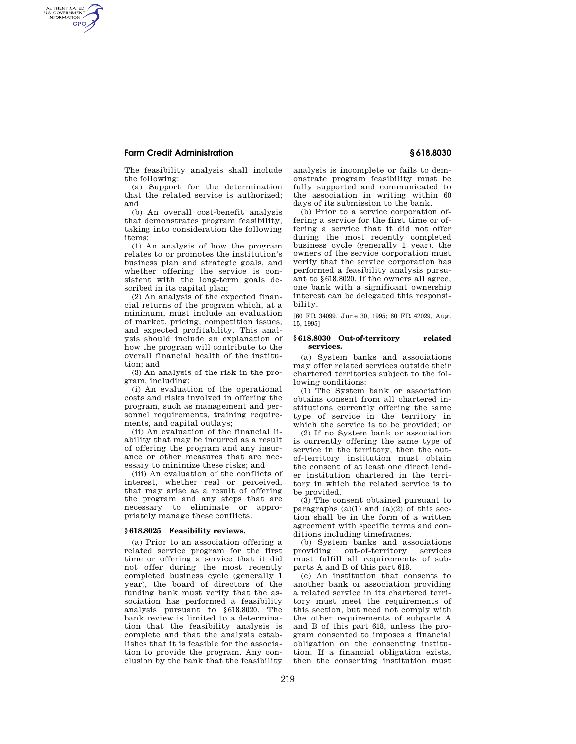## **Farm Credit Administration § 618.8030**

AUTHENTICATED<br>U.S. GOVERNMENT<br>INFORMATION **GPO** 

> The feasibility analysis shall include the following:

> (a) Support for the determination that the related service is authorized; and

> (b) An overall cost-benefit analysis that demonstrates program feasibility, taking into consideration the following items:

(1) An analysis of how the program relates to or promotes the institution's business plan and strategic goals, and whether offering the service is consistent with the long-term goals described in its capital plan;

(2) An analysis of the expected financial returns of the program which, at a minimum, must include an evaluation of market, pricing, competition issues, and expected profitability. This analysis should include an explanation of how the program will contribute to the overall financial health of the institution; and

(3) An analysis of the risk in the program, including:

(i) An evaluation of the operational costs and risks involved in offering the program, such as management and personnel requirements, training requirements, and capital outlays;

(ii) An evaluation of the financial liability that may be incurred as a result of offering the program and any insurance or other measures that are necessary to minimize these risks; and

(iii) An evaluation of the conflicts of interest, whether real or perceived, that may arise as a result of offering the program and any steps that are necessary to eliminate or appropriately manage these conflicts.

#### **§ 618.8025 Feasibility reviews.**

(a) Prior to an association offering a related service program for the first time or offering a service that it did not offer during the most recently completed business cycle (generally 1 year), the board of directors of the funding bank must verify that the association has performed a feasibility analysis pursuant to §618.8020. The bank review is limited to a determination that the feasibility analysis is complete and that the analysis establishes that it is feasible for the association to provide the program. Any conclusion by the bank that the feasibility

analysis is incomplete or fails to demonstrate program feasibility must be fully supported and communicated to the association in writing within 60 days of its submission to the bank.

(b) Prior to a service corporation offering a service for the first time or offering a service that it did not offer during the most recently completed business cycle (generally 1 year), the owners of the service corporation must verify that the service corporation has performed a feasibility analysis pursuant to §618.8020. If the owners all agree, one bank with a significant ownership interest can be delegated this responsibility.

[60 FR 34099, June 30, 1995; 60 FR 42029, Aug. 15, 1995]

### **§ 618.8030 Out-of-territory related services.**

(a) System banks and associations may offer related services outside their chartered territories subject to the following conditions:

(1) The System bank or association obtains consent from all chartered institutions currently offering the same type of service in the territory in which the service is to be provided; or

(2) If no System bank or association is currently offering the same type of service in the territory, then the outof-territory institution must obtain the consent of at least one direct lender institution chartered in the territory in which the related service is to be provided.

(3) The consent obtained pursuant to paragraphs  $(a)(1)$  and  $(a)(2)$  of this section shall be in the form of a written agreement with specific terms and conditions including timeframes.

(b) System banks and associations providing out-of-territory services must fulfill all requirements of subparts A and B of this part 618.

(c) An institution that consents to another bank or association providing a related service in its chartered territory must meet the requirements of this section, but need not comply with the other requirements of subparts A and B of this part 618, unless the program consented to imposes a financial obligation on the consenting institution. If a financial obligation exists, then the consenting institution must